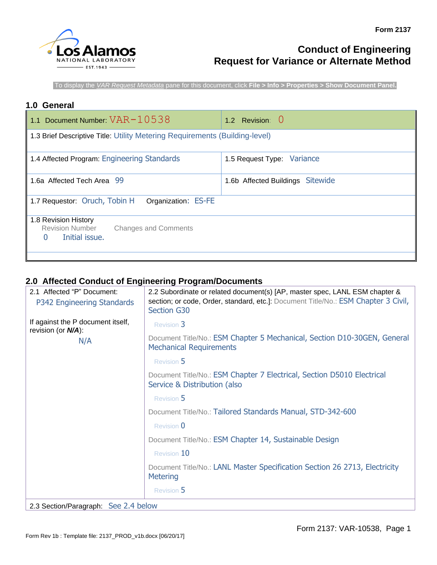

# **Conduct of Engineering Request for Variance or Alternate Method**

To display the *VAR Request Metadata* pane for this document, click **File > Info > Properties > Show Document Panel.**

## **1.0 General**

| 1.1 Document Number: $VAR-10538$                                                                | 1.2 Revision: 0                  |  |
|-------------------------------------------------------------------------------------------------|----------------------------------|--|
| 1.3 Brief Descriptive Title: Utility Metering Requirements (Building-level)                     |                                  |  |
| 1.4 Affected Program: Engineering Standards<br>1.5 Request Type: Variance                       |                                  |  |
| 1.6a Affected Tech Area 99                                                                      | 1.6b Affected Buildings Sitewide |  |
| 1.7 Requestor: Oruch, Tobin H<br>Organization: ES-FE                                            |                                  |  |
| 1.8 Revision History<br><b>Revision Number</b><br><b>Changes and Comments</b><br>Initial issue. |                                  |  |

# **2.0 Affected Conduct of Engineering Program/Documents**

| 2.1 Affected "P" Document:<br>P342 Engineering Standards   | 2.2 Subordinate or related document(s) [AP, master spec, LANL ESM chapter &<br>section; or code, Order, standard, etc.]: Document Title/No.: ESM Chapter 3 Civil,<br>Section G30 |
|------------------------------------------------------------|----------------------------------------------------------------------------------------------------------------------------------------------------------------------------------|
| If against the P document itself,<br>revision (or $N/A$ ): | <b>Revision 3</b>                                                                                                                                                                |
| N/A                                                        | Document Title/No.: ESM Chapter 5 Mechanical, Section D10-30GEN, General<br><b>Mechanical Requirements</b>                                                                       |
|                                                            | Revision 5                                                                                                                                                                       |
|                                                            | Document Title/No.: ESM Chapter 7 Electrical, Section D5010 Electrical<br>Service & Distribution (also                                                                           |
|                                                            | Revision 5                                                                                                                                                                       |
|                                                            | Document Title/No.: Tailored Standards Manual, STD-342-600                                                                                                                       |
|                                                            | Revision 0                                                                                                                                                                       |
|                                                            | Document Title/No.: ESM Chapter 14, Sustainable Design                                                                                                                           |
|                                                            | Revision 10                                                                                                                                                                      |
|                                                            | Document Title/No.: LANL Master Specification Section 26 2713, Electricity<br><b>Metering</b>                                                                                    |
|                                                            | Revision 5                                                                                                                                                                       |
| 2.3 Section/Paragraph: See 2.4 below                       |                                                                                                                                                                                  |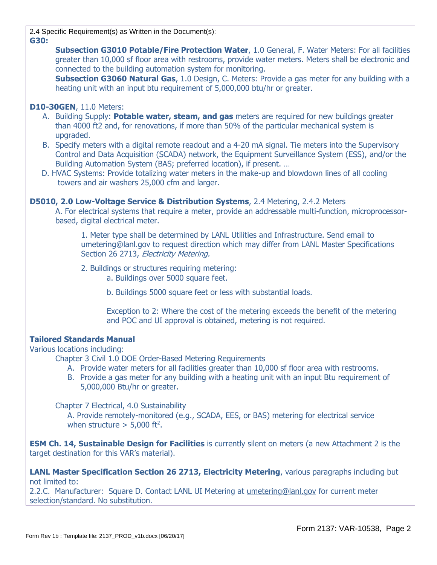2.4 Specific Requirement(s) as Written in the Document(s): **G30:** 

> **Subsection G3010 Potable/Fire Protection Water**, 1.0 General, F. Water Meters: For all facilities greater than 10,000 sf floor area with restrooms, provide water meters. Meters shall be electronic and connected to the building automation system for monitoring.

> **Subsection G3060 Natural Gas**, 1.0 Design, C. Meters: Provide a gas meter for any building with a heating unit with an input btu requirement of 5,000,000 btu/hr or greater.

#### **D10-30GEN**, 11.0 Meters:

- A. Building Supply: **Potable water, steam, and gas** meters are required for new buildings greater than 4000 ft2 and, for renovations, if more than 50% of the particular mechanical system is upgraded.
- B. Specify meters with a digital remote readout and a 4-20 mA signal. Tie meters into the Supervisory Control and Data Acquisition (SCADA) network, the Equipment Surveillance System (ESS), and/or the Building Automation System (BAS; preferred location), if present. …
- D. HVAC Systems: Provide totalizing water meters in the make-up and blowdown lines of all cooling towers and air washers 25,000 cfm and larger.

#### **D5010, 2.0 Low-Voltage Service & Distribution Systems**, 2.4 Metering, 2.4.2 Meters

A. For electrical systems that require a meter, provide an addressable multi-function, microprocessorbased, digital electrical meter.

1. Meter type shall be determined by LANL Utilities and Infrastructure. Send email to umetering@lanl.gov to request direction which may differ from LANL Master Specifications Section 26 2713, Electricity Metering.

2. Buildings or structures requiring metering:

a. Buildings over 5000 square feet.

b. Buildings 5000 square feet or less with substantial loads.

Exception to 2: Where the cost of the metering exceeds the benefit of the metering and POC and UI approval is obtained, metering is not required.

## **Tailored Standards Manual**

Various locations including:

Chapter 3 Civil 1.0 DOE Order-Based Metering Requirements

- A. Provide water meters for all facilities greater than 10,000 sf floor area with restrooms.
- B. Provide a gas meter for any building with a heating unit with an input Btu requirement of 5,000,000 Btu/hr or greater.

Chapter 7 Electrical, 4.0 Sustainability

A. Provide remotely-monitored (e.g., SCADA, EES, or BAS) metering for electrical service when structure  $>$  5,000 ft<sup>2</sup>.

**ESM Ch. 14, Sustainable Design for Facilities** is currently silent on meters (a new Attachment 2 is the target destination for this VAR's material).

**LANL Master Specification Section 26 2713, Electricity Metering**, various paragraphs including but not limited to:

2.2.C. Manufacturer: Square D. Contact LANL UI Metering at [umetering@lanl.gov](mailto:umetering@lanl.gov) for current meter selection/standard. No substitution.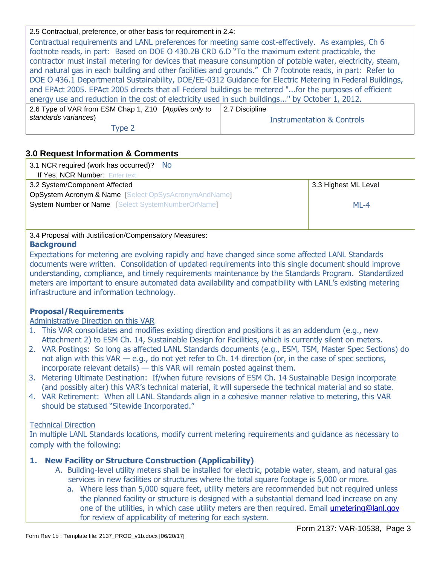2.5 Contractual, preference, or other basis for requirement in 2.4:

Contractual requirements and LANL preferences for meeting same cost-effectively. As examples, Ch 6 footnote reads, in part: Based on DOE O 430.2B CRD 6.D "To the maximum extent practicable, the contractor must install metering for devices that measure consumption of potable water, electricity, steam, and natural gas in each building and other facilities and grounds." Ch 7 footnote reads, in part: Refer to DOE O 436.1 Departmental Sustainability, DOE/EE-0312 Guidance for Electric Metering in Federal Buildings, and EPAct 2005. EPAct 2005 directs that all Federal buildings be metered "...for the purposes of efficient energy use and reduction in the cost of electricity used in such buildings..." by October 1, 2012.

| 2.6 Type of VAR from ESM Chap 1, Z10 [Applies only to   2.7 Discipline |                            |
|------------------------------------------------------------------------|----------------------------|
| standards variances)                                                   | Instrumentation & Controls |
| Type 2                                                                 |                            |

# **3.0 Request Information & Comments**

| 3.1 NCR required (work has occurred)?<br>- No                   |                      |
|-----------------------------------------------------------------|----------------------|
| If Yes, NCR Number: Enter text.                                 |                      |
| 3.2 System/Component Affected                                   | 3.3 Highest ML Level |
| <b>OpSystem Acronym &amp; Name</b> [Select OpSysAcronymAndName] |                      |
| <b>System Number or Name</b> [Select SystemNumberOrName]        | $MI -4$              |
|                                                                 |                      |
|                                                                 |                      |

#### 3.4 Proposal with Justification/Compensatory Measures:

## **Background**

Expectations for metering are evolving rapidly and have changed since some affected LANL Standards documents were written. Consolidation of updated requirements into this single document should improve understanding, compliance, and timely requirements maintenance by the Standards Program. Standardized meters are important to ensure automated data availability and compatibility with LANL's existing metering infrastructure and information technology.

# **Proposal/Requirements**

## Administrative Direction on this VAR

- 1. This VAR consolidates and modifies existing direction and positions it as an addendum (e.g., new Attachment 2) to ESM Ch. 14, Sustainable Design for Facilities, which is currently silent on meters.
- 2. VAR Postings: So long as affected LANL Standards documents (e.g., ESM, TSM, Master Spec Sections) do not align with this VAR — e.g., do not yet refer to Ch. 14 direction (or, in the case of spec sections, incorporate relevant details) — this VAR will remain posted against them.
- 3. Metering Ultimate Destination: If/when future revisions of ESM Ch. 14 Sustainable Design incorporate (and possibly alter) this VAR's technical material, it will supersede the technical material and so state.
- 4. VAR Retirement: When all LANL Standards align in a cohesive manner relative to metering, this VAR should be statused "Sitewide Incorporated."

## Technical Direction

In multiple LANL Standards locations, modify current metering requirements and guidance as necessary to comply with the following:

# **1. New Facility or Structure Construction (Applicability)**

- A. Building-level utility meters shall be installed for electric, potable water, steam, and natural gas services in new facilities or structures where the total square footage is 5,000 or more.
	- a. Where less than 5,000 square feet, utility meters are recommended but not required unless the planned facility or structure is designed with a substantial demand load increase on any one of the utilities, in which case utility meters are then required. Email [umetering@lanl.gov](mailto:umetering@lanl.gov) for review of applicability of metering for each system.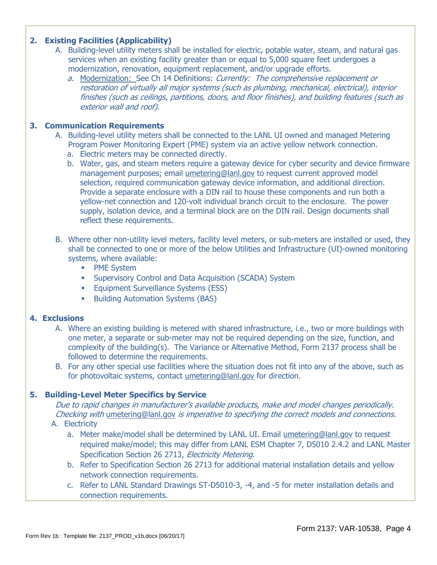## **2. Existing Facilities (Applicability)**

- A. Building-level utility meters shall be installed for electric, potable water, steam, and natural gas services when an existing facility greater than or equal to 5,000 square feet undergoes a modernization, renovation, equipment replacement, and/or upgrade efforts.
	- a. Modernization: See Ch 14 Definitions: Currently: The comprehensive replacement or restoration of virtually all major systems (such as plumbing, mechanical, electrical), interior finishes (such as ceilings, partitions, doors, and floor finishes), and building features (such as exterior wall and roof).

## **3. Communication Requirements**

- A. Building-level utility meters shall be connected to the LANL UI owned and managed Metering Program Power Monitoring Expert (PME) system via an active yellow network connection.
	- a. Electric meters may be connected directly.
	- b. Water, gas, and steam meters require a gateway device for cyber security and device firmware management purposes; email [umetering@lanl.gov](mailto:umetering@lanl.gov) to request current approved model selection, required communication gateway device information, and additional direction. Provide a separate enclosure with a DIN rail to house these components and run both a yellow-net connection and 120-volt individual branch circuit to the enclosure. The power supply, isolation device, and a terminal block are on the DIN rail. Design documents shall reflect these requirements.
- B. Where other non-utility level meters, facility level meters, or sub-meters are installed or used, they shall be connected to one or more of the below Utilities and Infrastructure (UI)-owned monitoring systems, where available:
	- **PME System**
	- **EXECTE Acquisition (SCADA)** System
	- **Equipment Surveillance Systems (ESS)**
	- **Building Automation Systems (BAS)**

## **4. Exclusions**

- A. Where an existing building is metered with shared infrastructure, i.e., two or more buildings with one meter, a separate or sub-meter may not be required depending on the size, function, and complexity of the building(s). The Variance or Alternative Method, Form 2137 process shall be followed to determine the requirements.
- B. For any other special use facilities where the situation does not fit into any of the above, such as for photovoltaic systems, contact [umetering@lanl.gov](mailto:umetering@lanl.gov) for direction.

# **5. Building-Level Meter Specifics by Service**

Due to rapid changes in manufacturer's available products, make and model changes periodically. Checking with umetering@lanl.gov is imperative to specifying the correct models and connections.

- A. Electricity
	- a. Meter make/model shall be determined by LANL UI. Email umetering@lanl.gov to request required make/model; this may differ from LANL ESM Chapter 7, D5010 2.4.2 and LANL Master Specification Section 26 2713, Electricity Metering.
	- b. Refer to Specification Section 26 2713 for additional material installation details and yellow network connection requirements.
	- c. Refer to LANL Standard Drawings ST-D5010-3, -4, and -5 for meter installation details and connection requirements.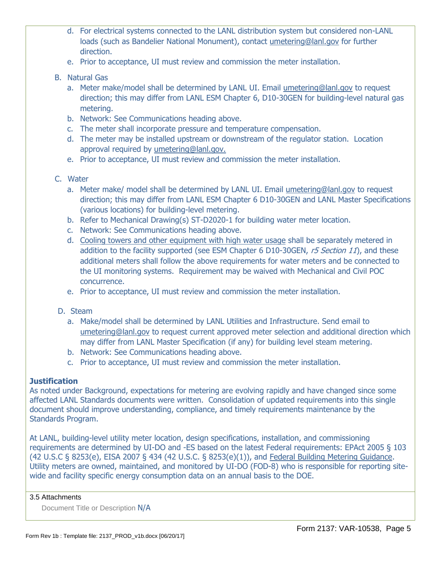- d. For electrical systems connected to the LANL distribution system but considered non-LANL loads (such as Bandelier National Monument), contact [umetering@lanl.gov](mailto:umetering@lanl.gov) for further direction.
- e. Prior to acceptance, UI must review and commission the meter installation.
- B. Natural Gas
	- a. Meter make/model shall be determined by LANL UI. Email umetering@lanl.gov to request direction; this may differ from LANL ESM Chapter 6, D10-30GEN for building-level natural gas metering.
	- b. Network: See Communications heading above.
	- c. The meter shall incorporate pressure and temperature compensation.
	- d. The meter may be installed upstream or downstream of the regulator station. Location approval required by [umetering@lanl.gov.](mailto:umetering@lanl.gov)
	- e. Prior to acceptance, UI must review and commission the meter installation.
- C. Water
	- a. Meter make/ model shall be determined by LANL UI. Email umetering@lanl.gov to request direction; this may differ from LANL ESM Chapter 6 D10-30GEN and LANL Master Specifications (various locations) for building-level metering.
	- b. Refer to Mechanical Drawing(s) ST-D2020-1 for building water meter location.
	- c. Network: See Communications heading above.
	- d. Cooling towers and other equipment with high water usage shall be separately metered in addition to the facility supported (see ESM Chapter 6 D10-30GEN, r5 Section 11), and these additional meters shall follow the above requirements for water meters and be connected to the UI monitoring systems. Requirement may be waived with Mechanical and Civil POC concurrence.
	- e. Prior to acceptance, UI must review and commission the meter installation.
- D. Steam
	- a. Make/model shall be determined by LANL Utilities and Infrastructure. Send email to umetering@lanl.gov to request current approved meter selection and additional direction which may differ from LANL Master Specification (if any) for building level steam metering.
	- b. Network: See Communications heading above.
	- c. Prior to acceptance, UI must review and commission the meter installation.

## **Justification**

As noted under Background, expectations for metering are evolving rapidly and have changed since some affected LANL Standards documents were written. Consolidation of updated requirements into this single document should improve understanding, compliance, and timely requirements maintenance by the Standards Program.

At LANL, building-level utility meter location, design specifications, installation, and commissioning requirements are determined by UI-DO and -ES based on the latest Federal requirements: EPAct 2005 § 103 (42 U.S.C § 8253(e), EISA 2007 § 434 (42 U.S.C. § 8253(e)(1)), and [Federal Building Metering Guidance.](https://www.energy.gov/eere/femp/downloads/federal-building-metering-guidance-usc-8253e-metering-energy-use) Utility meters are owned, maintained, and monitored by UI-DO (FOD-8) who is responsible for reporting sitewide and facility specific energy consumption data on an annual basis to the DOE.

#### 3.5 Attachments

Document Title or Description N/A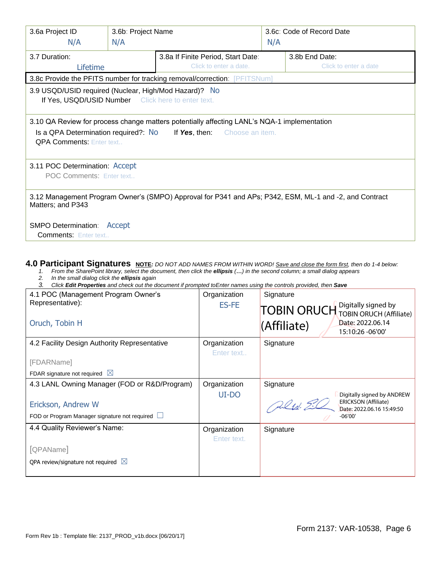| 3.6a Project ID<br>N/A                                                                                                                                                                                         | 3.6b: Project Name<br>N/A                                    |                                                                                                        | N/A | 3.6c: Code of Record Date               |
|----------------------------------------------------------------------------------------------------------------------------------------------------------------------------------------------------------------|--------------------------------------------------------------|--------------------------------------------------------------------------------------------------------|-----|-----------------------------------------|
| 3.7 Duration:<br>Lifetime                                                                                                                                                                                      | 3.8a If Finite Period, Start Date:<br>Click to enter a date. |                                                                                                        |     | 3.8b End Date:<br>Click to enter a date |
|                                                                                                                                                                                                                |                                                              | 3.8c Provide the PFITS number for tracking removal/correction: [PFITSNum]                              |     |                                         |
| 3.9 USQD/USID required (Nuclear, High/Mod Hazard)? No<br>If Yes, USQD/USID Number Click here to enter text.                                                                                                    |                                                              |                                                                                                        |     |                                         |
| 3.10 QA Review for process change matters potentially affecting LANL's NQA-1 implementation<br>Is a QPA Determination required?: No<br><b>If Yes, then:</b> Choose an item.<br><b>QPA Comments: Enter text</b> |                                                              |                                                                                                        |     |                                         |
| 3.11 POC Determination: Accept<br>POC Comments: Enter text                                                                                                                                                     |                                                              |                                                                                                        |     |                                         |
| Matters; and P343                                                                                                                                                                                              |                                                              | 3.12 Management Program Owner's (SMPO) Approval for P341 and APs; P342, ESM, ML-1 and -2, and Contract |     |                                         |
| <b>SMPO Determination: Accept</b><br><b>Comments: Enter text</b>                                                                                                                                               |                                                              |                                                                                                        |     |                                         |

#### **4.0 Participant Signatures NOTE***: DO NOT ADD NAMES FROM WITHIN WORD! Save and close the form first, then do 1-4 below:*

- 1. From the SharePoint library, select the document, then click the *ellipsis* (*...*) in the second column; a small dialog appears
- *2. In the small dialog click the ellipsis again*
- *3. Click Edit Properties and check out the document if prompted toEnter names using the controls provided, then Save*

| 4.1 POC (Management Program Owner's           | Organization | Signature                                                |
|-----------------------------------------------|--------------|----------------------------------------------------------|
| Representative):                              | <b>ES-FE</b> | Digitally signed by<br>TOBIN ORUCH Digitally signed by   |
|                                               |              |                                                          |
| Oruch, Tobin H                                |              | Date: 2022.06.14<br>(Affiliate)<br>15:10:26 -06'00'      |
|                                               |              |                                                          |
| 4.2 Facility Design Authority Representative  | Organization | Signature                                                |
|                                               | Enter text   |                                                          |
| [FDARName]                                    |              |                                                          |
| FDAR signature not required $\boxtimes$       |              |                                                          |
| 4.3 LANL Owning Manager (FOD or R&D/Program)  | Organization | Signature                                                |
|                                               | UI-DO        | Digitally signed by ANDREW                               |
| Erickson, Andrew W                            |              | <b>ERICKSON (Affiliate)</b><br>Date: 2022.06.16 15:49:50 |
| FOD or Program Manager signature not required |              | $-06'00'$                                                |
| 4.4 Quality Reviewer's Name:                  | Organization | Signature                                                |
|                                               | Enter text.  |                                                          |
| [QPAName]                                     |              |                                                          |
| QPA review/signature not required $\boxtimes$ |              |                                                          |
|                                               |              |                                                          |